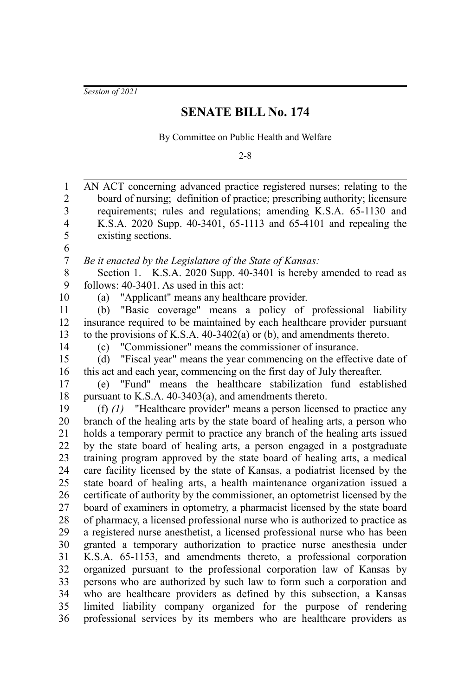*Session of 2021*

## **SENATE BILL No. 174**

By Committee on Public Health and Welfare

2-8

| $\mathbf{1}$     | AN ACT concerning advanced practice registered nurses; relating to the       |
|------------------|------------------------------------------------------------------------------|
| $\boldsymbol{2}$ | board of nursing; definition of practice; prescribing authority; licensure   |
| 3                | requirements; rules and regulations; amending K.S.A. 65-1130 and             |
| $\overline{4}$   | K.S.A. 2020 Supp. 40-3401, 65-1113 and 65-4101 and repealing the             |
| 5                | existing sections.                                                           |
| 6                |                                                                              |
| $\boldsymbol{7}$ | Be it enacted by the Legislature of the State of Kansas:                     |
| 8                | Section 1. K.S.A. 2020 Supp. 40-3401 is hereby amended to read as            |
| 9                | follows: 40-3401. As used in this act:                                       |
| 10               | "Applicant" means any healthcare provider.<br>(a)                            |
| 11               | "Basic coverage" means a policy of professional liability<br>(b)             |
| 12               | insurance required to be maintained by each healthcare provider pursuant     |
| 13               | to the provisions of K.S.A. 40-3402(a) or (b), and amendments thereto.       |
| 14               | "Commissioner" means the commissioner of insurance.<br>(c)                   |
| 15               | "Fiscal year" means the year commencing on the effective date of<br>(d)      |
| 16               | this act and each year, commencing on the first day of July thereafter.      |
| 17               | (e) "Fund" means the healthcare stabilization fund established               |
| 18               | pursuant to K.S.A. 40-3403(a), and amendments thereto.                       |
| 19               | (f) $(1)$ "Healthcare provider" means a person licensed to practice any      |
| 20               | branch of the healing arts by the state board of healing arts, a person who  |
| 21               | holds a temporary permit to practice any branch of the healing arts issued   |
| 22               | by the state board of healing arts, a person engaged in a postgraduate       |
| 23               | training program approved by the state board of healing arts, a medical      |
| 24               | care facility licensed by the state of Kansas, a podiatrist licensed by the  |
| 25               | state board of healing arts, a health maintenance organization issued a      |
| 26               | certificate of authority by the commissioner, an optometrist licensed by the |
| 27               | board of examiners in optometry, a pharmacist licensed by the state board    |
| 28               | of pharmacy, a licensed professional nurse who is authorized to practice as  |
| 29               | a registered nurse anesthetist, a licensed professional nurse who has been   |
| 30               | granted a temporary authorization to practice nurse anesthesia under         |
| 31               | K.S.A. 65-1153, and amendments thereto, a professional corporation           |
| 32               | organized pursuant to the professional corporation law of Kansas by          |
| 33               | persons who are authorized by such law to form such a corporation and        |
| 34               | who are healthcare providers as defined by this subsection, a Kansas         |
| 35               | limited liability company organized for the purpose of rendering             |
| 36               | professional services by its members who are healthcare providers as         |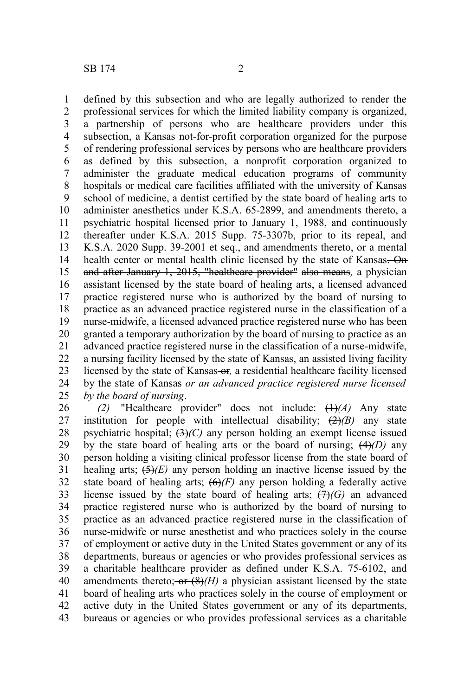defined by this subsection and who are legally authorized to render the professional services for which the limited liability company is organized, a partnership of persons who are healthcare providers under this subsection, a Kansas not-for-profit corporation organized for the purpose of rendering professional services by persons who are healthcare providers as defined by this subsection, a nonprofit corporation organized to administer the graduate medical education programs of community hospitals or medical care facilities affiliated with the university of Kansas

school of medicine, a dentist certified by the state board of healing arts to administer anesthetics under K.S.A. 65-2899, and amendments thereto, a psychiatric hospital licensed prior to January 1, 1988, and continuously thereafter under K.S.A. 2015 Supp. 75-3307b, prior to its repeal, and K.S.A. 2020 Supp. 39-2001 et seq., and amendments thereto, or a mental health center or mental health clinic licensed by the state of Kansas. On and after January 1, 2015, "healthcare provider" also means*,* a physician assistant licensed by the state board of healing arts, a licensed advanced practice registered nurse who is authorized by the board of nursing to practice as an advanced practice registered nurse in the classification of a nurse-midwife, a licensed advanced practice registered nurse who has been granted a temporary authorization by the board of nursing to practice as an advanced practice registered nurse in the classification of a nurse-midwife, a nursing facility licensed by the state of Kansas, an assisted living facility licensed by the state of Kansas-or, a residential healthcare facility licensed by the state of Kansas *or an advanced practice registered nurse licensed by the board of nursing*. 9 10 11 12 13 14 15 16 17 18 19 20 21 22 23 24 25

*(2)* "Healthcare provider" does not include: (1)*(A)* Any state institution for people with intellectual disability;  $(2)(B)$  any state psychiatric hospital; (3)*(C)* any person holding an exempt license issued by the state board of healing arts or the board of nursing;  $(4)$ *(D)* any person holding a visiting clinical professor license from the state board of healing arts; (5)*(E)* any person holding an inactive license issued by the state board of healing arts;  $\left(\frac{\Theta}{F}\right)$  any person holding a federally active license issued by the state board of healing arts;  $(H)(G)$  an advanced practice registered nurse who is authorized by the board of nursing to practice as an advanced practice registered nurse in the classification of nurse-midwife or nurse anesthetist and who practices solely in the course of employment or active duty in the United States government or any of its departments, bureaus or agencies or who provides professional services as a charitable healthcare provider as defined under K.S.A. 75-6102, and amendments thereto;  $-$ or  $(8)$ *(H)* a physician assistant licensed by the state board of healing arts who practices solely in the course of employment or active duty in the United States government or any of its departments, bureaus or agencies or who provides professional services as a charitable 26 27 28 29 30 31 32 33 34 35 36 37 38 39 40 41 42 43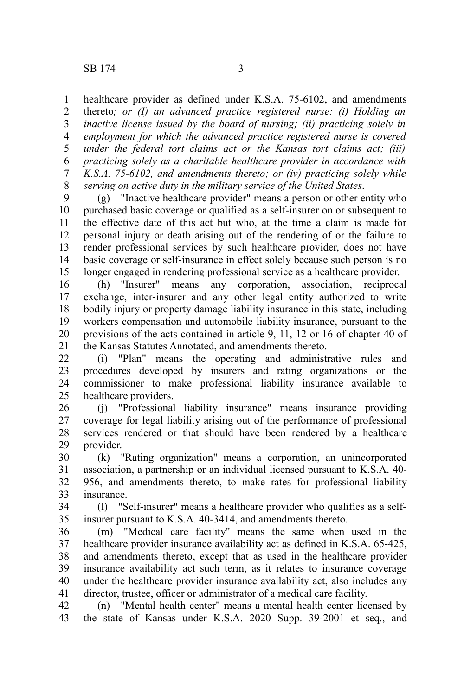healthcare provider as defined under K.S.A. 75-6102, and amendments thereto*; or (I) an advanced practice registered nurse: (i) Holding an inactive license issued by the board of nursing; (ii) practicing solely in employment for which the advanced practice registered nurse is covered under the federal tort claims act or the Kansas tort claims act; (iii) practicing solely as a charitable healthcare provider in accordance with K.S.A. 75-6102, and amendments thereto; or (iv) practicing solely while serving on active duty in the military service of the United States*. 1 2 3 4 5 6 7 8

(g) "Inactive healthcare provider" means a person or other entity who purchased basic coverage or qualified as a self-insurer on or subsequent to the effective date of this act but who, at the time a claim is made for personal injury or death arising out of the rendering of or the failure to render professional services by such healthcare provider, does not have basic coverage or self-insurance in effect solely because such person is no longer engaged in rendering professional service as a healthcare provider. 9 10 11 12 13 14 15

(h) "Insurer" means any corporation, association, reciprocal exchange, inter-insurer and any other legal entity authorized to write bodily injury or property damage liability insurance in this state, including workers compensation and automobile liability insurance, pursuant to the provisions of the acts contained in article 9, 11, 12 or 16 of chapter 40 of the Kansas Statutes Annotated, and amendments thereto. 16 17 18 19 20 21

(i) "Plan" means the operating and administrative rules and procedures developed by insurers and rating organizations or the commissioner to make professional liability insurance available to healthcare providers. 22 23 24 25

(j) "Professional liability insurance" means insurance providing coverage for legal liability arising out of the performance of professional services rendered or that should have been rendered by a healthcare provider. 26 27 28 29

(k) "Rating organization" means a corporation, an unincorporated association, a partnership or an individual licensed pursuant to K.S.A. 40- 956, and amendments thereto, to make rates for professional liability insurance. 30 31 32 33

(l) "Self-insurer" means a healthcare provider who qualifies as a selfinsurer pursuant to K.S.A. 40-3414, and amendments thereto. 34 35

(m) "Medical care facility" means the same when used in the healthcare provider insurance availability act as defined in K.S.A. 65-425, and amendments thereto, except that as used in the healthcare provider insurance availability act such term, as it relates to insurance coverage under the healthcare provider insurance availability act, also includes any director, trustee, officer or administrator of a medical care facility. 36 37 38 39 40 41

(n) "Mental health center" means a mental health center licensed by the state of Kansas under K.S.A. 2020 Supp. 39-2001 et seq., and 42 43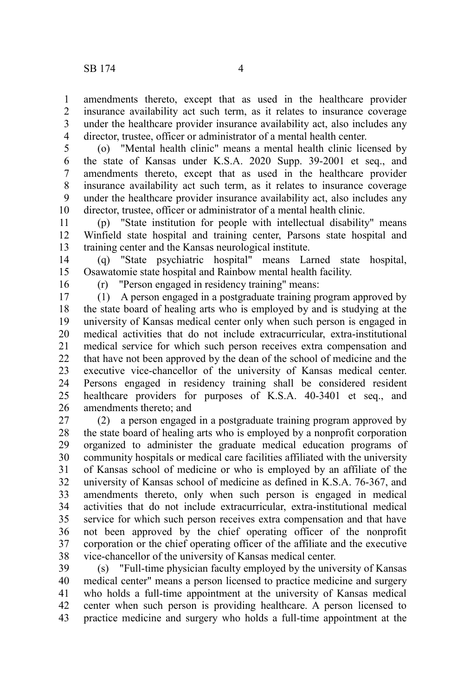amendments thereto, except that as used in the healthcare provider insurance availability act such term, as it relates to insurance coverage under the healthcare provider insurance availability act, also includes any director, trustee, officer or administrator of a mental health center. 1 2 3 4

(o) "Mental health clinic" means a mental health clinic licensed by the state of Kansas under K.S.A. 2020 Supp. 39-2001 et seq., and amendments thereto, except that as used in the healthcare provider insurance availability act such term, as it relates to insurance coverage under the healthcare provider insurance availability act, also includes any director, trustee, officer or administrator of a mental health clinic. 5 6 7 8 9 10

(p) "State institution for people with intellectual disability" means Winfield state hospital and training center, Parsons state hospital and training center and the Kansas neurological institute. 11 12 13

(q) "State psychiatric hospital" means Larned state hospital, Osawatomie state hospital and Rainbow mental health facility. 14 15

16

(r) "Person engaged in residency training" means:

(1) A person engaged in a postgraduate training program approved by the state board of healing arts who is employed by and is studying at the university of Kansas medical center only when such person is engaged in medical activities that do not include extracurricular, extra-institutional medical service for which such person receives extra compensation and that have not been approved by the dean of the school of medicine and the executive vice-chancellor of the university of Kansas medical center. Persons engaged in residency training shall be considered resident healthcare providers for purposes of K.S.A. 40-3401 et seq., and amendments thereto; and 17 18 19 20 21 22 23 24 25 26

(2) a person engaged in a postgraduate training program approved by the state board of healing arts who is employed by a nonprofit corporation organized to administer the graduate medical education programs of community hospitals or medical care facilities affiliated with the university of Kansas school of medicine or who is employed by an affiliate of the university of Kansas school of medicine as defined in K.S.A. 76-367, and amendments thereto, only when such person is engaged in medical activities that do not include extracurricular, extra-institutional medical service for which such person receives extra compensation and that have not been approved by the chief operating officer of the nonprofit corporation or the chief operating officer of the affiliate and the executive vice-chancellor of the university of Kansas medical center. 27 28 29 30 31 32 33 34 35 36 37 38

(s) "Full-time physician faculty employed by the university of Kansas medical center" means a person licensed to practice medicine and surgery who holds a full-time appointment at the university of Kansas medical center when such person is providing healthcare. A person licensed to practice medicine and surgery who holds a full-time appointment at the 39 40 41 42 43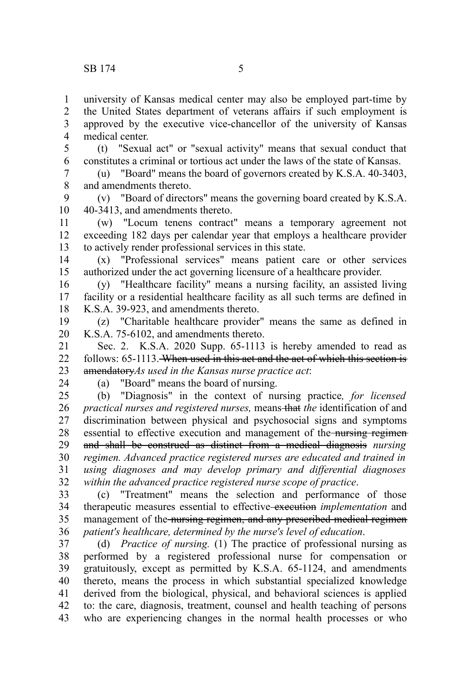university of Kansas medical center may also be employed part-time by the United States department of veterans affairs if such employment is approved by the executive vice-chancellor of the university of Kansas medical center. 1 2 3 4

(t) "Sexual act" or "sexual activity" means that sexual conduct that constitutes a criminal or tortious act under the laws of the state of Kansas. 5 6

(u) "Board" means the board of governors created by K.S.A. 40-3403, and amendments thereto. 7 8

(v) "Board of directors" means the governing board created by K.S.A. 40-3413, and amendments thereto. 9 10

(w) "Locum tenens contract" means a temporary agreement not exceeding 182 days per calendar year that employs a healthcare provider to actively render professional services in this state. 11 12 13

(x) "Professional services" means patient care or other services authorized under the act governing licensure of a healthcare provider. 14 15

(y) "Healthcare facility" means a nursing facility, an assisted living facility or a residential healthcare facility as all such terms are defined in K.S.A. 39-923, and amendments thereto. 16 17 18

(z) "Charitable healthcare provider" means the same as defined in K.S.A. 75-6102, and amendments thereto. 19 20

Sec. 2. K.S.A. 2020 Supp. 65-1113 is hereby amended to read as follows: 65-1113. When used in this act and the act of which this section is amendatory*As used in the Kansas nurse practice act*: 21 22 23

24

(a) "Board" means the board of nursing.

(b) "Diagnosis" in the context of nursing practice*, for licensed practical nurses and registered nurses, means-that the identification of and* discrimination between physical and psychosocial signs and symptoms essential to effective execution and management of the nursing regimenand shall be construed as distinct from a medical diagnosis *nursing regimen. Advanced practice registered nurses are educated and trained in using diagnoses and may develop primary and differential diagnoses within the advanced practice registered nurse scope of practice*. 25 26 27 28 29 30 31 32

(c) "Treatment" means the selection and performance of those therapeutic measures essential to effective execution *implementation* and management of the nursing regimen, and any prescribed medical regimen *patient's healthcare, determined by the nurse's level of education*. 33 34 35 36

(d) *Practice of nursing.* (1) The practice of professional nursing as performed by a registered professional nurse for compensation or gratuitously, except as permitted by K.S.A. 65-1124, and amendments thereto, means the process in which substantial specialized knowledge derived from the biological, physical, and behavioral sciences is applied to: the care, diagnosis, treatment, counsel and health teaching of persons who are experiencing changes in the normal health processes or who 37 38 39 40 41 42 43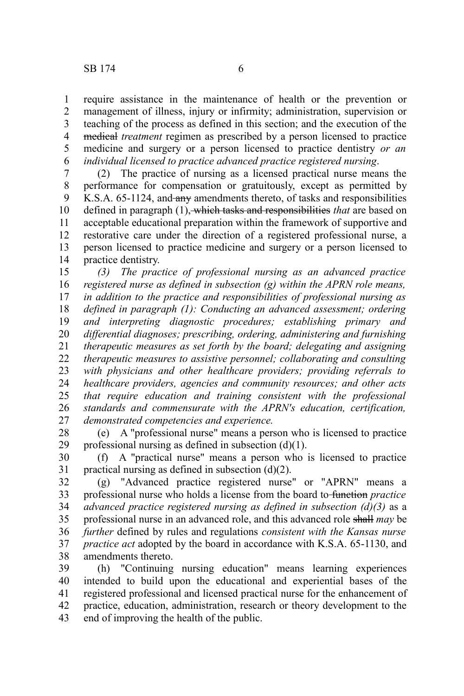require assistance in the maintenance of health or the prevention or management of illness, injury or infirmity; administration, supervision or teaching of the process as defined in this section; and the execution of the medical *treatment* regimen as prescribed by a person licensed to practice medicine and surgery or a person licensed to practice dentistry *or an individual licensed to practice advanced practice registered nursing*. 1 2 3 4 5 6

(2) The practice of nursing as a licensed practical nurse means the performance for compensation or gratuitously, except as permitted by K.S.A. 65-1124, and any amendments thereto, of tasks and responsibilities defined in paragraph (1), which tasks and responsibilities *that* are based on acceptable educational preparation within the framework of supportive and restorative care under the direction of a registered professional nurse, a person licensed to practice medicine and surgery or a person licensed to practice dentistry. 7 8 9 10 11 12 13 14

*(3) The practice of professional nursing as an advanced practice registered nurse as defined in subsection (g) within the APRN role means, in addition to the practice and responsibilities of professional nursing as defined in paragraph (1): Conducting an advanced assessment; ordering and interpreting diagnostic procedures; establishing primary and differential diagnoses; prescribing, ordering, administering and furnishing therapeutic measures as set forth by the board; delegating and assigning therapeutic measures to assistive personnel; collaborating and consulting with physicians and other healthcare providers; providing referrals to healthcare providers, agencies and community resources; and other acts that require education and training consistent with the professional standards and commensurate with the APRN's education, certification, demonstrated competencies and experience.* 15 16 17 18 19 20 21 22 23 24 25 26 27

(e) A "professional nurse" means a person who is licensed to practice professional nursing as defined in subsection (d)(1). 28 29

(f) A "practical nurse" means a person who is licensed to practice practical nursing as defined in subsection (d)(2). 30 31

(g) "Advanced practice registered nurse" or "APRN" means a professional nurse who holds a license from the board to function *practice advanced practice registered nursing as defined in subsection (d)(3)* as a professional nurse in an advanced role, and this advanced role shall *may* be *further* defined by rules and regulations *consistent with the Kansas nurse practice act* adopted by the board in accordance with K.S.A. 65-1130, and amendments thereto. 32 33 34 35 36 37 38

(h) "Continuing nursing education" means learning experiences intended to build upon the educational and experiential bases of the registered professional and licensed practical nurse for the enhancement of practice, education, administration, research or theory development to the end of improving the health of the public. 39 40 41 42 43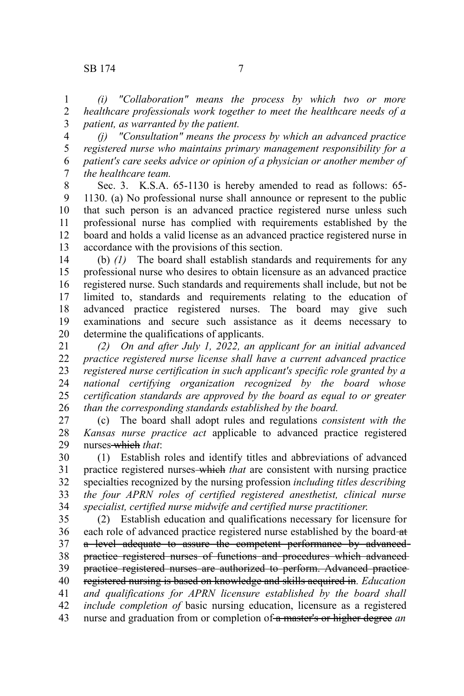*(i) "Collaboration" means the process by which two or more healthcare professionals work together to meet the healthcare needs of a patient, as warranted by the patient.* 1 2 3

*(j) "Consultation" means the process by which an advanced practice registered nurse who maintains primary management responsibility for a patient's care seeks advice or opinion of a physician or another member of the healthcare team.* 4 5 6 7

Sec. 3. K.S.A. 65-1130 is hereby amended to read as follows: 65- 1130. (a) No professional nurse shall announce or represent to the public that such person is an advanced practice registered nurse unless such professional nurse has complied with requirements established by the board and holds a valid license as an advanced practice registered nurse in accordance with the provisions of this section. 8 9 10 11 12 13

(b) *(1)* The board shall establish standards and requirements for any professional nurse who desires to obtain licensure as an advanced practice registered nurse. Such standards and requirements shall include, but not be limited to, standards and requirements relating to the education of advanced practice registered nurses. The board may give such examinations and secure such assistance as it deems necessary to determine the qualifications of applicants. 14 15 16 17 18 19 20

*(2) On and after July 1, 2022, an applicant for an initial advanced practice registered nurse license shall have a current advanced practice registered nurse certification in such applicant's specific role granted by a national certifying organization recognized by the board whose certification standards are approved by the board as equal to or greater than the corresponding standards established by the board.* 21 22 23 24 25 26

(c) The board shall adopt rules and regulations *consistent with the Kansas nurse practice act* applicable to advanced practice registered nurses which *that*: 27 28 29

(1) Establish roles and identify titles and abbreviations of advanced practice registered nurses which *that* are consistent with nursing practice specialties recognized by the nursing profession *including titles describing the four APRN roles of certified registered anesthetist, clinical nurse specialist, certified nurse midwife and certified nurse practitioner*. 30 31 32 33 34

(2) Establish education and qualifications necessary for licensure for each role of advanced practice registered nurse established by the board-at a level adequate to assure the competent performance by advancedpractice registered nurses of functions and procedures which advanced practice registered nurses are authorized to perform. Advanced practice registered nursing is based on knowledge and skills acquired in*. Education and qualifications for APRN licensure established by the board shall include completion of* basic nursing education, licensure as a registered nurse and graduation from or completion of a master's or higher degree *an* 35 36 37 38 39 40 41 42 43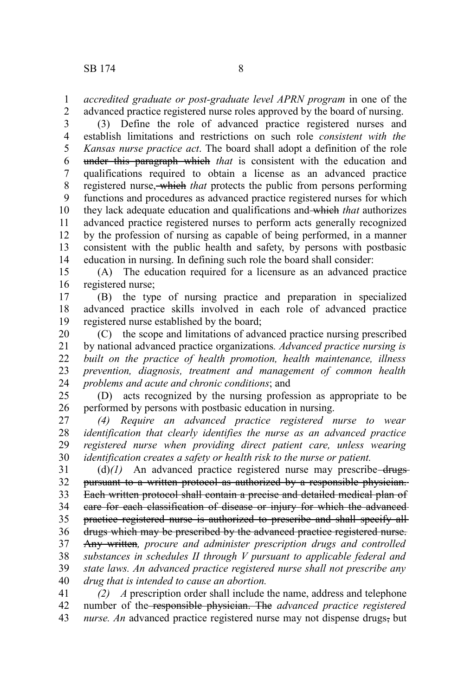*accredited graduate or post-graduate level APRN program* in one of the advanced practice registered nurse roles approved by the board of nursing. 1 2

(3) Define the role of advanced practice registered nurses and establish limitations and restrictions on such role *consistent with the Kansas nurse practice act*. The board shall adopt a definition of the role under this paragraph which *that* is consistent with the education and qualifications required to obtain a license as an advanced practice registered nurse, which *that* protects the public from persons performing functions and procedures as advanced practice registered nurses for which they lack adequate education and qualifications and which *that* authorizes advanced practice registered nurses to perform acts generally recognized by the profession of nursing as capable of being performed, in a manner consistent with the public health and safety, by persons with postbasic education in nursing. In defining such role the board shall consider: 3 4 5 6 7 8 9 10 11 12 13 14

(A) The education required for a licensure as an advanced practice registered nurse; 15 16

(B) the type of nursing practice and preparation in specialized advanced practice skills involved in each role of advanced practice registered nurse established by the board; 17 18 19

(C) the scope and limitations of advanced practice nursing prescribed by national advanced practice organizations*. Advanced practice nursing is built on the practice of health promotion, health maintenance, illness prevention, diagnosis, treatment and management of common health problems and acute and chronic conditions*; and 20 21 22 23 24

(D) acts recognized by the nursing profession as appropriate to be performed by persons with postbasic education in nursing. 25 26

*(4) Require an advanced practice registered nurse to wear identification that clearly identifies the nurse as an advanced practice registered nurse when providing direct patient care, unless wearing identification creates a safety or health risk to the nurse or patient.* 27 28 29 30

 $(d)$ (*l*) An advanced practice registered nurse may prescribe-drugspursuant to a written protocol as authorized by a responsible physician. Each written protocol shall contain a precise and detailed medical plan of care for each classification of disease or injury for which the advanced practice registered nurse is authorized to prescribe and shall specify all drugs which may be prescribed by the advanced practice registered nurse. Any written*, procure and administer prescription drugs and controlled substances in schedules II through V pursuant to applicable federal and state laws. An advanced practice registered nurse shall not prescribe any drug that is intended to cause an abortion.* 31 32 33 34 35 36 37 38 39 40

*(2) A* prescription order shall include the name, address and telephone number of the responsible physician. The *advanced practice registered nurse. An* advanced practice registered nurse may not dispense drugs, but 41 42 43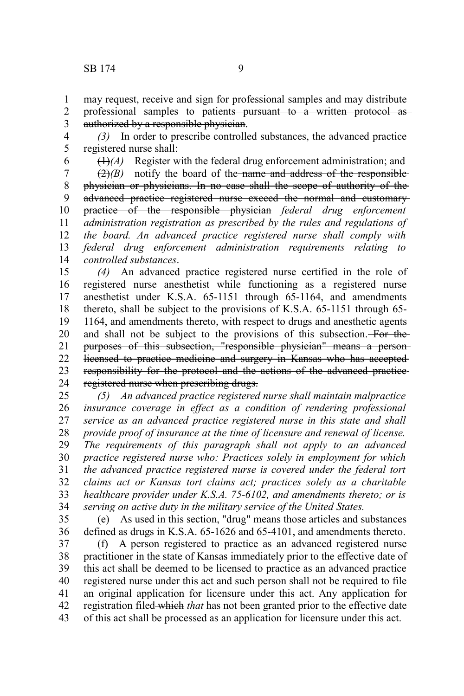may request, receive and sign for professional samples and may distribute 1

professional samples to patients<del> pursuant to a written protocol as</del> authorized by a responsible physician. 2 3

*(3)* In order to prescribe controlled substances, the advanced practice registered nurse shall: 4 5

6

 $(1)$ <sup> $(A)$ </sup> Register with the federal drug enforcement administration; and

 $(2)$ *(B)* notify the board of the name and address of the responsiblephysician or physicians. In no case shall the scope of authority of the advanced practice registered nurse exceed the normal and customary practice of the responsible physician *federal drug enforcement administration registration as prescribed by the rules and regulations of the board. An advanced practice registered nurse shall comply with federal drug enforcement administration requirements relating to controlled substances*. 7 8 9 10 11 12 13 14

*(4)* An advanced practice registered nurse certified in the role of registered nurse anesthetist while functioning as a registered nurse anesthetist under K.S.A. 65-1151 through 65-1164, and amendments thereto, shall be subject to the provisions of K.S.A. 65-1151 through 65- 1164, and amendments thereto, with respect to drugs and anesthetic agents and shall not be subject to the provisions of this subsection. For the purposes of this subsection, "responsible physician" means a person licensed to practice medicine and surgery in Kansas who has accepted responsibility for the protocol and the actions of the advanced practice registered nurse when prescribing drugs. 15 16 17 18 19 20 21 22 23 24

*(5) An advanced practice registered nurse shall maintain malpractice insurance coverage in effect as a condition of rendering professional service as an advanced practice registered nurse in this state and shall provide proof of insurance at the time of licensure and renewal of license. The requirements of this paragraph shall not apply to an advanced practice registered nurse who: Practices solely in employment for which the advanced practice registered nurse is covered under the federal tort claims act or Kansas tort claims act; practices solely as a charitable healthcare provider under K.S.A. 75-6102, and amendments thereto; or is serving on active duty in the military service of the United States.* 25 26 27 28 29 30 31 32 33 34

35

(e) As used in this section, "drug" means those articles and substances defined as drugs in K.S.A. 65-1626 and 65-4101, and amendments thereto. 36

(f) A person registered to practice as an advanced registered nurse practitioner in the state of Kansas immediately prior to the effective date of this act shall be deemed to be licensed to practice as an advanced practice registered nurse under this act and such person shall not be required to file an original application for licensure under this act. Any application for registration filed which *that* has not been granted prior to the effective date of this act shall be processed as an application for licensure under this act. 37 38 39 40 41 42 43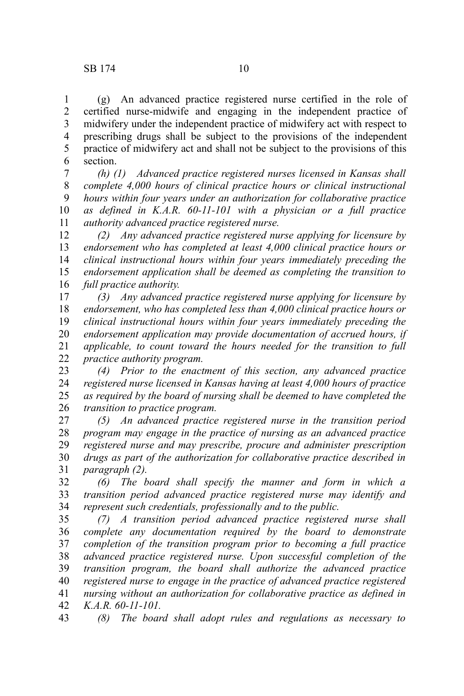(g) An advanced practice registered nurse certified in the role of certified nurse-midwife and engaging in the independent practice of midwifery under the independent practice of midwifery act with respect to prescribing drugs shall be subject to the provisions of the independent practice of midwifery act and shall not be subject to the provisions of this section. 1 2 3 4 5 6

*(h) (1) Advanced practice registered nurses licensed in Kansas shall complete 4,000 hours of clinical practice hours or clinical instructional hours within four years under an authorization for collaborative practice as defined in K.A.R. 60-11-101 with a physician or a full practice authority advanced practice registered nurse.*  7 8 9 10 11

*(2) Any advanced practice registered nurse applying for licensure by endorsement who has completed at least 4,000 clinical practice hours or clinical instructional hours within four years immediately preceding the endorsement application shall be deemed as completing the transition to full practice authority.*  12 13 14 15 16

*(3) Any advanced practice registered nurse applying for licensure by endorsement, who has completed less than 4,000 clinical practice hours or clinical instructional hours within four years immediately preceding the endorsement application may provide documentation of accrued hours, if applicable, to count toward the hours needed for the transition to full practice authority program.*  17 18 19 20 21 22

*(4) Prior to the enactment of this section, any advanced practice registered nurse licensed in Kansas having at least 4,000 hours of practice as required by the board of nursing shall be deemed to have completed the transition to practice program.*  23 24 25 26

*(5) An advanced practice registered nurse in the transition period program may engage in the practice of nursing as an advanced practice registered nurse and may prescribe, procure and administer prescription drugs as part of the authorization for collaborative practice described in paragraph (2).*  27 28 29 30 31

*(6) The board shall specify the manner and form in which a transition period advanced practice registered nurse may identify and represent such credentials, professionally and to the public.*  32 33 34

*(7) A transition period advanced practice registered nurse shall complete any documentation required by the board to demonstrate completion of the transition program prior to becoming a full practice advanced practice registered nurse. Upon successful completion of the transition program, the board shall authorize the advanced practice registered nurse to engage in the practice of advanced practice registered nursing without an authorization for collaborative practice as defined in K.A.R. 60-11-101.*  35 36 37 38 39 40 41 42

*(8) The board shall adopt rules and regulations as necessary to* 43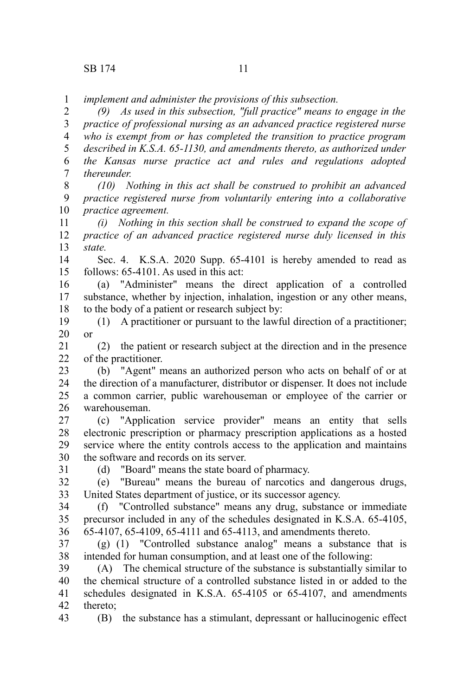*implement and administer the provisions of this subsection.*  1

*(9) As used in this subsection, "full practice" means to engage in the practice of professional nursing as an advanced practice registered nurse who is exempt from or has completed the transition to practice program described in K.S.A. 65-1130, and amendments thereto, as authorized under the Kansas nurse practice act and rules and regulations adopted thereunder.*  2 3 4 5 6 7

*(10) Nothing in this act shall be construed to prohibit an advanced practice registered nurse from voluntarily entering into a collaborative practice agreement.* 8 9 10

*(i) Nothing in this section shall be construed to expand the scope of practice of an advanced practice registered nurse duly licensed in this state.* 11 12 13

Sec. 4. K.S.A. 2020 Supp. 65-4101 is hereby amended to read as follows: 65-4101. As used in this act: 14 15

(a) "Administer" means the direct application of a controlled substance, whether by injection, inhalation, ingestion or any other means, to the body of a patient or research subject by: 16 17 18

(1) A practitioner or pursuant to the lawful direction of a practitioner; or 19 20

(2) the patient or research subject at the direction and in the presence of the practitioner. 21  $22$ 

(b) "Agent" means an authorized person who acts on behalf of or at the direction of a manufacturer, distributor or dispenser. It does not include a common carrier, public warehouseman or employee of the carrier or warehouseman. 23 24 25 26

(c) "Application service provider" means an entity that sells electronic prescription or pharmacy prescription applications as a hosted service where the entity controls access to the application and maintains the software and records on its server. 27 28 29 30

31

43

(d) "Board" means the state board of pharmacy.

(e) "Bureau" means the bureau of narcotics and dangerous drugs, United States department of justice, or its successor agency. 32 33

(f) "Controlled substance" means any drug, substance or immediate precursor included in any of the schedules designated in K.S.A. 65-4105, 65-4107, 65-4109, 65-4111 and 65-4113, and amendments thereto. 34 35 36

(g) (1) "Controlled substance analog" means a substance that is intended for human consumption, and at least one of the following: 37 38

(A) The chemical structure of the substance is substantially similar to the chemical structure of a controlled substance listed in or added to the schedules designated in K.S.A. 65-4105 or 65-4107, and amendments thereto; 39 40 41 42

(B) the substance has a stimulant, depressant or hallucinogenic effect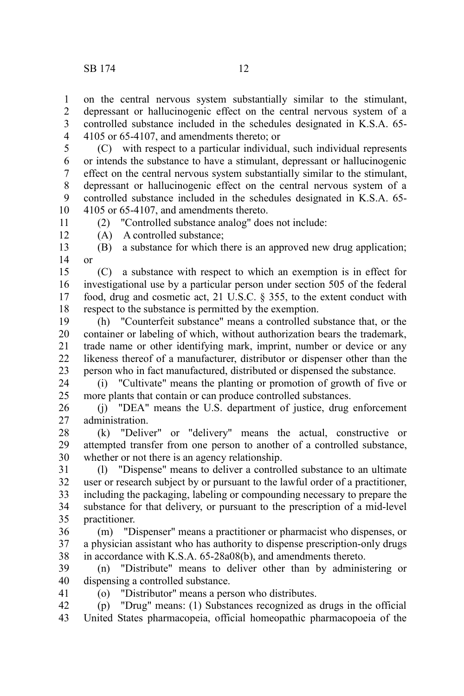on the central nervous system substantially similar to the stimulant, depressant or hallucinogenic effect on the central nervous system of a controlled substance included in the schedules designated in K.S.A. 65- 4105 or 65-4107, and amendments thereto; or 1 2 3 4

(C) with respect to a particular individual, such individual represents or intends the substance to have a stimulant, depressant or hallucinogenic effect on the central nervous system substantially similar to the stimulant, depressant or hallucinogenic effect on the central nervous system of a controlled substance included in the schedules designated in K.S.A. 65- 4105 or 65-4107, and amendments thereto. 5 6 7 8 9 10

11

(2) "Controlled substance analog" does not include:

12

41

(A) A controlled substance;

(B) a substance for which there is an approved new drug application; or 13 14

(C) a substance with respect to which an exemption is in effect for investigational use by a particular person under section 505 of the federal food, drug and cosmetic act, 21 U.S.C. § 355, to the extent conduct with respect to the substance is permitted by the exemption. 15 16 17 18

(h) "Counterfeit substance" means a controlled substance that, or the container or labeling of which, without authorization bears the trademark, trade name or other identifying mark, imprint, number or device or any likeness thereof of a manufacturer, distributor or dispenser other than the person who in fact manufactured, distributed or dispensed the substance. 19 20 21 22 23

(i) "Cultivate" means the planting or promotion of growth of five or more plants that contain or can produce controlled substances. 24 25

(j) "DEA" means the U.S. department of justice, drug enforcement administration. 26 27

(k) "Deliver" or "delivery" means the actual, constructive or attempted transfer from one person to another of a controlled substance, whether or not there is an agency relationship. 28 29 30

(l) "Dispense" means to deliver a controlled substance to an ultimate user or research subject by or pursuant to the lawful order of a practitioner, including the packaging, labeling or compounding necessary to prepare the substance for that delivery, or pursuant to the prescription of a mid-level practitioner. 31 32 33 34 35

(m) "Dispenser" means a practitioner or pharmacist who dispenses, or a physician assistant who has authority to dispense prescription-only drugs in accordance with K.S.A. 65-28a08(b), and amendments thereto. 36 37 38

(n) "Distribute" means to deliver other than by administering or dispensing a controlled substance. 39 40

(o) "Distributor" means a person who distributes.

(p) "Drug" means: (1) Substances recognized as drugs in the official United States pharmacopeia, official homeopathic pharmacopoeia of the 42 43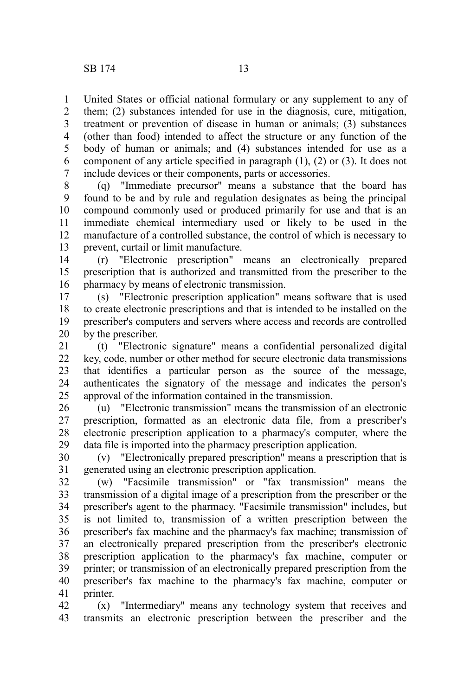United States or official national formulary or any supplement to any of them; (2) substances intended for use in the diagnosis, cure, mitigation, treatment or prevention of disease in human or animals; (3) substances (other than food) intended to affect the structure or any function of the body of human or animals; and (4) substances intended for use as a component of any article specified in paragraph (1), (2) or (3). It does not include devices or their components, parts or accessories. 1 2 3 4 5 6 7

(q) "Immediate precursor" means a substance that the board has found to be and by rule and regulation designates as being the principal compound commonly used or produced primarily for use and that is an immediate chemical intermediary used or likely to be used in the manufacture of a controlled substance, the control of which is necessary to prevent, curtail or limit manufacture. 8 9 10 11 12 13

(r) "Electronic prescription" means an electronically prepared prescription that is authorized and transmitted from the prescriber to the pharmacy by means of electronic transmission. 14 15 16

(s) "Electronic prescription application" means software that is used to create electronic prescriptions and that is intended to be installed on the prescriber's computers and servers where access and records are controlled by the prescriber. 17 18 19 20

(t) "Electronic signature" means a confidential personalized digital key, code, number or other method for secure electronic data transmissions that identifies a particular person as the source of the message, authenticates the signatory of the message and indicates the person's approval of the information contained in the transmission. 21 22 23 24 25

(u) "Electronic transmission" means the transmission of an electronic prescription, formatted as an electronic data file, from a prescriber's electronic prescription application to a pharmacy's computer, where the data file is imported into the pharmacy prescription application. 26 27 28 29

(v) "Electronically prepared prescription" means a prescription that is generated using an electronic prescription application. 30 31

(w) "Facsimile transmission" or "fax transmission" means the transmission of a digital image of a prescription from the prescriber or the prescriber's agent to the pharmacy. "Facsimile transmission" includes, but is not limited to, transmission of a written prescription between the prescriber's fax machine and the pharmacy's fax machine; transmission of an electronically prepared prescription from the prescriber's electronic prescription application to the pharmacy's fax machine, computer or printer; or transmission of an electronically prepared prescription from the prescriber's fax machine to the pharmacy's fax machine, computer or printer. 32 33 34 35 36 37 38 39 40 41

(x) "Intermediary" means any technology system that receives and transmits an electronic prescription between the prescriber and the 42 43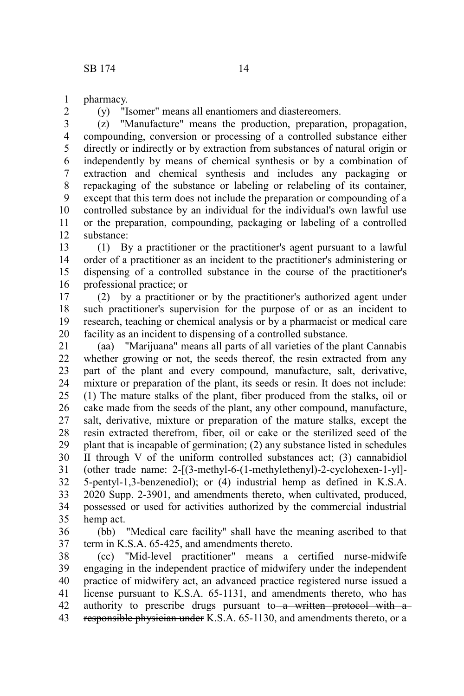pharmacy. 1

2

(y) "Isomer" means all enantiomers and diastereomers.

(z) "Manufacture" means the production, preparation, propagation, compounding, conversion or processing of a controlled substance either directly or indirectly or by extraction from substances of natural origin or independently by means of chemical synthesis or by a combination of extraction and chemical synthesis and includes any packaging or repackaging of the substance or labeling or relabeling of its container, except that this term does not include the preparation or compounding of a controlled substance by an individual for the individual's own lawful use or the preparation, compounding, packaging or labeling of a controlled substance: 3 4 5 6 7 8 9 10 11 12

(1) By a practitioner or the practitioner's agent pursuant to a lawful order of a practitioner as an incident to the practitioner's administering or dispensing of a controlled substance in the course of the practitioner's professional practice; or 13 14 15 16

(2) by a practitioner or by the practitioner's authorized agent under such practitioner's supervision for the purpose of or as an incident to research, teaching or chemical analysis or by a pharmacist or medical care facility as an incident to dispensing of a controlled substance. 17 18 19 20

(aa) "Marijuana" means all parts of all varieties of the plant Cannabis whether growing or not, the seeds thereof, the resin extracted from any part of the plant and every compound, manufacture, salt, derivative, mixture or preparation of the plant, its seeds or resin. It does not include: (1) The mature stalks of the plant, fiber produced from the stalks, oil or cake made from the seeds of the plant, any other compound, manufacture, salt, derivative, mixture or preparation of the mature stalks, except the resin extracted therefrom, fiber, oil or cake or the sterilized seed of the plant that is incapable of germination; (2) any substance listed in schedules II through V of the uniform controlled substances act; (3) cannabidiol (other trade name: 2-[(3-methyl-6-(1-methylethenyl)-2-cyclohexen-1-yl]- 5-pentyl-1,3-benzenediol); or (4) industrial hemp as defined in K.S.A. 2020 Supp. 2-3901, and amendments thereto, when cultivated, produced, possessed or used for activities authorized by the commercial industrial hemp act. 21 22 23 24 25 26 27 28 29 30 31 32 33 34 35

(bb) "Medical care facility" shall have the meaning ascribed to that term in K.S.A. 65-425, and amendments thereto. 36 37

(cc) "Mid-level practitioner" means a certified nurse-midwife engaging in the independent practice of midwifery under the independent practice of midwifery act, an advanced practice registered nurse issued a license pursuant to K.S.A. 65-1131, and amendments thereto, who has authority to prescribe drugs pursuant to a written protocol with aresponsible physician under K.S.A. 65-1130, and amendments thereto, or a 38 39 40 41 42 43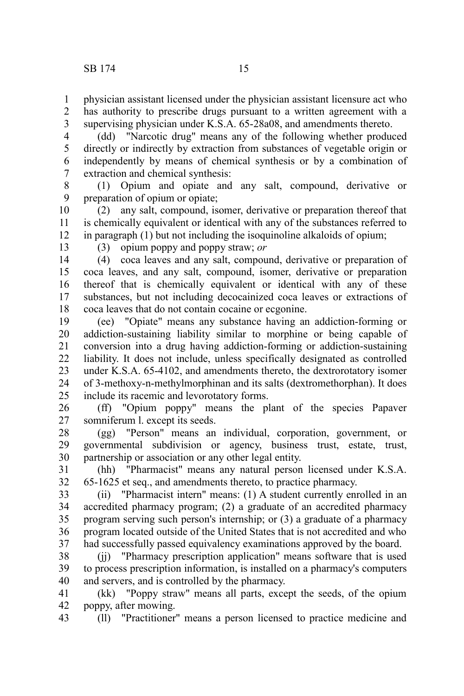physician assistant licensed under the physician assistant licensure act who has authority to prescribe drugs pursuant to a written agreement with a supervising physician under K.S.A. 65-28a08, and amendments thereto. 1 2 3

(dd) "Narcotic drug" means any of the following whether produced directly or indirectly by extraction from substances of vegetable origin or independently by means of chemical synthesis or by a combination of extraction and chemical synthesis: 4 5 6 7

(1) Opium and opiate and any salt, compound, derivative or preparation of opium or opiate; 8 9

(2) any salt, compound, isomer, derivative or preparation thereof that is chemically equivalent or identical with any of the substances referred to in paragraph (1) but not including the isoquinoline alkaloids of opium; 10 11 12

13

(3) opium poppy and poppy straw; *or*

(4) coca leaves and any salt, compound, derivative or preparation of coca leaves, and any salt, compound, isomer, derivative or preparation thereof that is chemically equivalent or identical with any of these substances, but not including decocainized coca leaves or extractions of coca leaves that do not contain cocaine or ecgonine. 14 15 16 17 18

(ee) "Opiate" means any substance having an addiction-forming or addiction-sustaining liability similar to morphine or being capable of conversion into a drug having addiction-forming or addiction-sustaining liability. It does not include, unless specifically designated as controlled under K.S.A. 65-4102, and amendments thereto, the dextrorotatory isomer of 3-methoxy-n-methylmorphinan and its salts (dextromethorphan). It does include its racemic and levorotatory forms. 19 20 21 22 23 24 25

(ff) "Opium poppy" means the plant of the species Papaver somniferum l. except its seeds. 26 27

(gg) "Person" means an individual, corporation, government, or governmental subdivision or agency, business trust, estate, trust, partnership or association or any other legal entity. 28 29 30

(hh) "Pharmacist" means any natural person licensed under K.S.A. 65-1625 et seq., and amendments thereto, to practice pharmacy. 31 32

(ii) "Pharmacist intern" means: (1) A student currently enrolled in an accredited pharmacy program; (2) a graduate of an accredited pharmacy program serving such person's internship; or (3) a graduate of a pharmacy program located outside of the United States that is not accredited and who had successfully passed equivalency examinations approved by the board. 33 34 35 36 37

(jj) "Pharmacy prescription application" means software that is used to process prescription information, is installed on a pharmacy's computers and servers, and is controlled by the pharmacy. 38 39 40

(kk) "Poppy straw" means all parts, except the seeds, of the opium poppy, after mowing. 41 42

(ll) "Practitioner" means a person licensed to practice medicine and 43